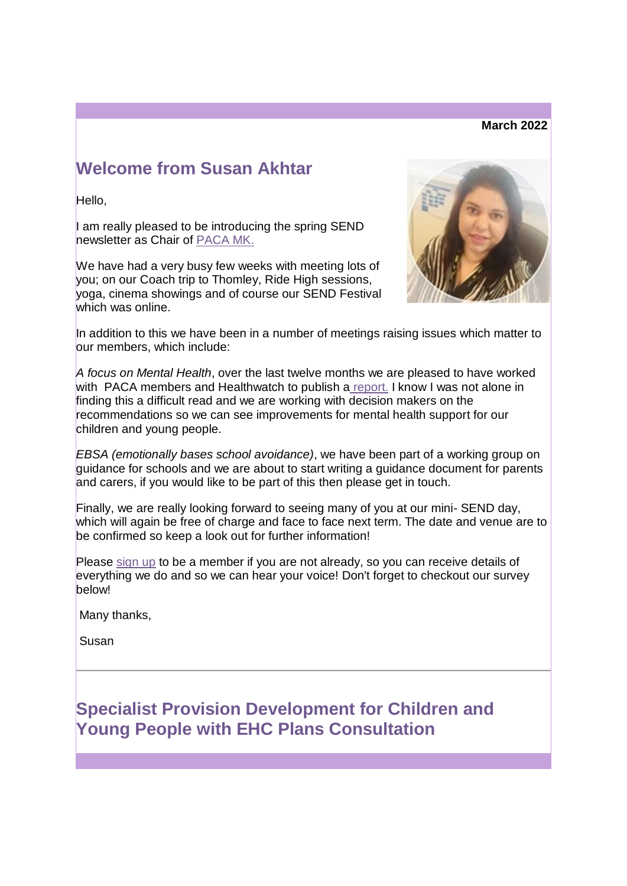#### **March 2022**

# **Welcome from Susan Akhtar**

Hello,

I am really pleased to be introducing the spring SEND newsletter as Chair of [PACA MK.](https://lnks.gd/l/eyJhbGciOiJIUzI1NiJ9.eyJidWxsZXRpbl9saW5rX2lkIjoxMDAsInVyaSI6ImJwMjpjbGljayIsImJ1bGxldGluX2lkIjoiMjAyMjAzMjguNTU1MzQxNjEiLCJ1cmwiOiJodHRwczovL3BhY2Ftay5vcmcvIn0.8-_gcLRpeOLEJQ7IHNcXrj4N6G3dzkAFv7JAAMY92sk/s/2129677703/br/128721388554-l)

We have had a very busy few weeks with meeting lots of you; on our Coach trip to Thomley, Ride High sessions, yoga, cinema showings and of course our SEND Festival which was online.



In addition to this we have been in a number of meetings raising issues which matter to our members, which include:

*A focus on Mental Health*, over the last twelve months we are pleased to have worked with PACA members and Healthwatch to publish a [report.](https://lnks.gd/l/eyJhbGciOiJIUzI1NiJ9.eyJidWxsZXRpbl9saW5rX2lkIjoxMDEsInVyaSI6ImJwMjpjbGljayIsImJ1bGxldGluX2lkIjoiMjAyMjAzMjguNTU1MzQxNjEiLCJ1cmwiOiJodHRwczovL3BhY2Ftay5vcmcvd3AtY29udGVudC91cGxvYWRzLzIwMjIvMDIvSGVhbHRod2F0Y2gtYW5kLVBBQ0EtQ0FNSFMtcmVwb3J0LTIwMjJfMC0xLnBkZiJ9.Cg3IDJ1XWe0pGHEvp4LuVYDIt4QUzUftHonj9FH-4XQ/s/2129677703/br/128721388554-l) I know I was not alone in finding this a difficult read and we are working with decision makers on the recommendations so we can see improvements for mental health support for our children and young people.

*EBSA (emotionally bases school avoidance)*, we have been part of a working group on guidance for schools and we are about to start writing a guidance document for parents and carers, if you would like to be part of this then please get in touch.

Finally, we are really looking forward to seeing many of you at our mini- SEND day, which will again be free of charge and face to face next term. The date and venue are to be confirmed so keep a look out for further information!

Please [sign up](https://lnks.gd/l/eyJhbGciOiJIUzI1NiJ9.eyJidWxsZXRpbl9saW5rX2lkIjoxMDIsInVyaSI6ImJwMjpjbGljayIsImJ1bGxldGluX2lkIjoiMjAyMjAzMjguNTU1MzQxNjEiLCJ1cmwiOiJodHRwczovL3d3dy5zdXJ2ZXltb25rZXkuY29tL3IvUEFDQV9tZW1iZXJzaGlwX2Zvcm0ifQ.2RKg8Agfr3SCQBwIYz29eraEGEIA5_NBoJkBZRLUuzM/s/2129677703/br/128721388554-l) to be a member if you are not already, so you can receive details of everything we do and so we can hear your voice! Don't forget to checkout our survey below!

Many thanks,

Susan

# **Specialist Provision Development for Children and Young People with EHC Plans Consultation**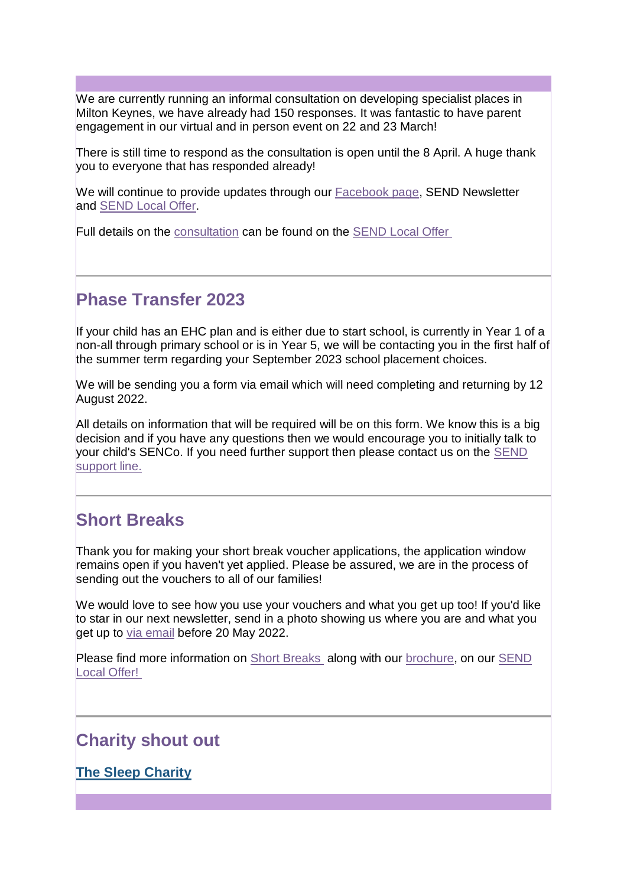We are currently running an informal consultation on developing specialist places in Milton Keynes, we have already had 150 responses. It was fantastic to have parent engagement in our virtual and in person event on 22 and 23 March!

There is still time to respond as the consultation is open until the 8 April. A huge thank you to everyone that has responded already!

We will continue to provide updates through our [Facebook page,](https://lnks.gd/l/eyJhbGciOiJIUzI1NiJ9.eyJidWxsZXRpbl9saW5rX2lkIjoxMDMsInVyaSI6ImJwMjpjbGljayIsImJ1bGxldGluX2lkIjoiMjAyMjAzMjguNTU1MzQxNjEiLCJ1cmwiOiJodHRwOi8vd3d3LmZhY2Vib29rLmNvbS9NS1NFTkQifQ.sKi2_rYUNo1f1CUCEt8uHjI33zkMsXvNFL0DPzDQsYg/s/2129677703/br/128721388554-l) SEND Newsletter and [SEND Local Offer.](https://lnks.gd/l/eyJhbGciOiJIUzI1NiJ9.eyJidWxsZXRpbl9saW5rX2lkIjoxMDQsInVyaSI6ImJwMjpjbGljayIsImJ1bGxldGluX2lkIjoiMjAyMjAzMjguNTU1MzQxNjEiLCJ1cmwiOiJodHRwczovL3d3dy5taWx0b24ta2V5bmVzLmdvdi51ay9zY2hvb2xzLWFuZC1saWZlbG9uZy1sZWFybmluZy9zZW5kLWxvY2FsLW9mZmVyIn0.rZ3w5vvFeUzy70-qVsDlTMOUkhrlpy5SRGloVsaoW7s/s/2129677703/br/128721388554-l)

Full details on the [consultation](https://lnks.gd/l/eyJhbGciOiJIUzI1NiJ9.eyJidWxsZXRpbl9saW5rX2lkIjoxMDUsInVyaSI6ImJwMjpjbGljayIsImJ1bGxldGluX2lkIjoiMjAyMjAzMjguNTU1MzQxNjEiLCJ1cmwiOiJodHRwczovL3d3dy5taWx0b24ta2V5bmVzLmdvdi51ay9jb25zdWx0YXRpb25zLzY4MSJ9.xpaBd2_xAJ7a5HF3vPkELyCVyIoNpDE3ew43bP9uZC4/s/2129677703/br/128721388554-l) can be found on the [SEND Local Offer](https://lnks.gd/l/eyJhbGciOiJIUzI1NiJ9.eyJidWxsZXRpbl9saW5rX2lkIjoxMDYsInVyaSI6ImJwMjpjbGljayIsImJ1bGxldGluX2lkIjoiMjAyMjAzMjguNTU1MzQxNjEiLCJ1cmwiOiJodHRwczovL3d3dy5taWx0b24ta2V5bmVzLmdvdi51ay9jb25zdWx0YXRpb25zLzY4MSJ9.MmJYMfCAAvmSLDU3QwyrfVZ0ZoF-POP0J_0EGok_Bcc/s/2129677703/br/128721388554-l)

## **Phase Transfer 2023**

If your child has an EHC plan and is either due to start school, is currently in Year 1 of a non-all through primary school or is in Year 5, we will be contacting you in the first half of the summer term regarding your September 2023 school placement choices.

We will be sending you a form via email which will need completing and returning by 12 August 2022.

All details on information that will be required will be on this form. We know this is a big decision and if you have any questions then we would encourage you to initially talk to your child's SENCo. If you need further support then please contact us on the [SEND](https://lnks.gd/l/eyJhbGciOiJIUzI1NiJ9.eyJidWxsZXRpbl9saW5rX2lkIjoxMDcsInVyaSI6ImJwMjpjbGljayIsImJ1bGxldGluX2lkIjoiMjAyMjAzMjguNTU1MzQxNjEiLCJ1cmwiOiJodHRwczovL2NvbnRlbnQuZ292ZGVsaXZlcnkuY29tL2F0dGFjaG1lbnRzL1VLTUsvMjAyMi8wMy8yOC9maWxlX2F0dGFjaG1lbnRzLzIxMTQ0OTYvc2VuZCUyMHN1cHBvcnQlMjBsaW5lLmpwZyJ9.0xxV41T6f_a_RvVW6jhUB0HRGZVj3L2I7IMbSR6XEAM/s/2129677703/br/128721388554-l)  [support line.](https://lnks.gd/l/eyJhbGciOiJIUzI1NiJ9.eyJidWxsZXRpbl9saW5rX2lkIjoxMDcsInVyaSI6ImJwMjpjbGljayIsImJ1bGxldGluX2lkIjoiMjAyMjAzMjguNTU1MzQxNjEiLCJ1cmwiOiJodHRwczovL2NvbnRlbnQuZ292ZGVsaXZlcnkuY29tL2F0dGFjaG1lbnRzL1VLTUsvMjAyMi8wMy8yOC9maWxlX2F0dGFjaG1lbnRzLzIxMTQ0OTYvc2VuZCUyMHN1cHBvcnQlMjBsaW5lLmpwZyJ9.0xxV41T6f_a_RvVW6jhUB0HRGZVj3L2I7IMbSR6XEAM/s/2129677703/br/128721388554-l)

## **Short Breaks**

Thank you for making your short break voucher applications, the application window remains open if you haven't yet applied. Please be assured, we are in the process of sending out the vouchers to all of our families!

We would love to see how you use your vouchers and what you get up too! If you'd like to star in our next newsletter, send in a photo showing us where you are and what you get up to [via email](mailto:SENDSupport@milton-keynes.gov.uk) before 20 May 2022.

Please find more information on [Short Breaks](https://lnks.gd/l/eyJhbGciOiJIUzI1NiJ9.eyJidWxsZXRpbl9saW5rX2lkIjoxMDgsInVyaSI6ImJwMjpjbGljayIsImJ1bGxldGluX2lkIjoiMjAyMjAzMjguNTU1MzQxNjEiLCJ1cmwiOiJodHRwczovL3d3dy5taWx0b24ta2V5bmVzLmdvdi51ay9zY2hvb2xzLWFuZC1saWZlbG9uZy1sZWFybmluZy9zZW5kLWxvY2FsLW9mZmVyL3NlbmQtbG9jYWwtb2ZmZXItcGFyZW50cy9zaG9ydC1icmVha3Mvc2hvcnQtYnJlYWtzLXZvdWNoZXJzIn0.oSL1UGwK1zSvnqj4NBCvUr7laILrAp5XZbKubYFXZ3A/s/2129677703/br/128721388554-l) along with our [brochure,](https://lnks.gd/l/eyJhbGciOiJIUzI1NiJ9.eyJidWxsZXRpbl9saW5rX2lkIjoxMDksInVyaSI6ImJwMjpjbGljayIsImJ1bGxldGluX2lkIjoiMjAyMjAzMjguNTU1MzQxNjEiLCJ1cmwiOiJodHRwczovL2NvbnRlbnQuZ292ZGVsaXZlcnkuY29tL2F0dGFjaG1lbnRzL1VLTUsvMjAyMi8wMy8yMy9maWxlX2F0dGFjaG1lbnRzLzIxMTA4MzEvU0JWJTIwQnJvY2h1cmUlMjBNaWx0b24lMjBLZXluZXMlMjAyMDIyLnBkZiJ9.y4pS5qkBFCM1-nKz9g8VQ2SvXM2NkhFt9syalgK7WPU/s/2129677703/br/128721388554-l) on our [SEND](https://lnks.gd/l/eyJhbGciOiJIUzI1NiJ9.eyJidWxsZXRpbl9saW5rX2lkIjoxMTAsInVyaSI6ImJwMjpjbGljayIsImJ1bGxldGluX2lkIjoiMjAyMjAzMjguNTU1MzQxNjEiLCJ1cmwiOiJodHRwczovL3d3dy5taWx0b24ta2V5bmVzLmdvdi51ay9zY2hvb2xzLWFuZC1saWZlbG9uZy1sZWFybmluZy9zZW5kLWxvY2FsLW9mZmVyIn0.PQQwiH7BrpYrOXkJNcY6xIm05WxrAMDUGOSwWXvCVl0/s/2129677703/br/128721388554-l)  [Local Offer!](https://lnks.gd/l/eyJhbGciOiJIUzI1NiJ9.eyJidWxsZXRpbl9saW5rX2lkIjoxMTAsInVyaSI6ImJwMjpjbGljayIsImJ1bGxldGluX2lkIjoiMjAyMjAzMjguNTU1MzQxNjEiLCJ1cmwiOiJodHRwczovL3d3dy5taWx0b24ta2V5bmVzLmdvdi51ay9zY2hvb2xzLWFuZC1saWZlbG9uZy1sZWFybmluZy9zZW5kLWxvY2FsLW9mZmVyIn0.PQQwiH7BrpYrOXkJNcY6xIm05WxrAMDUGOSwWXvCVl0/s/2129677703/br/128721388554-l)

### **Charity shout out**

**[The Sleep Charity](https://lnks.gd/l/eyJhbGciOiJIUzI1NiJ9.eyJidWxsZXRpbl9saW5rX2lkIjoxMTEsInVyaSI6ImJwMjpjbGljayIsImJ1bGxldGluX2lkIjoiMjAyMjAzMjguNTU1MzQxNjEiLCJ1cmwiOiJodHRwczovL3d3dy5mYWNlYm9vay5jb20vVGhlU2xlZXBDaGFyaXR5In0.Q5Bc5_1nJ4gj6Dj2gggU4G1K89DTNrdbFeeAZHk0orM/s/2129677703/br/128721388554-l)**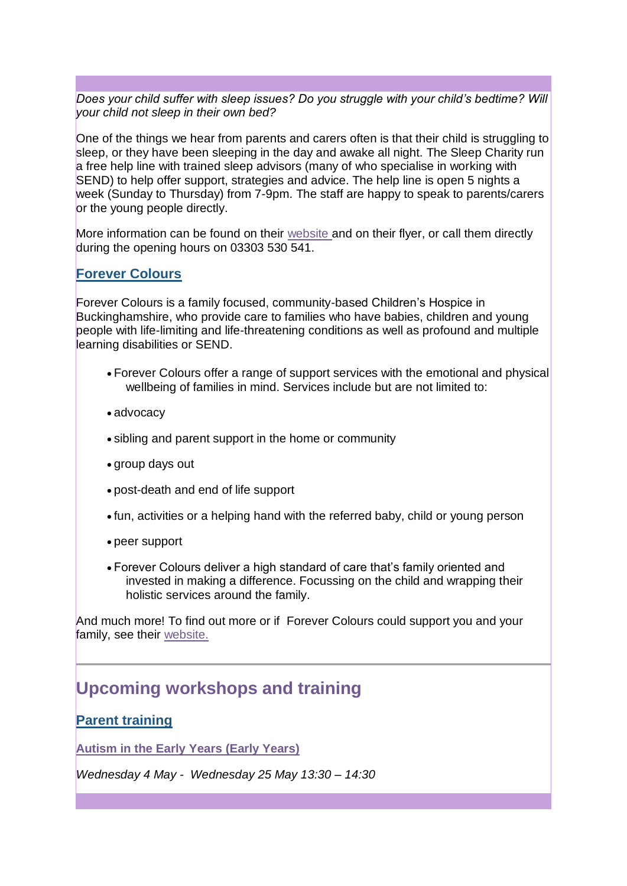*Does your child suffer with sleep issues? Do you struggle with your child's bedtime? Will your child not sleep in their own bed?*

One of the things we hear from parents and carers often is that their child is struggling to sleep, or they have been sleeping in the day and awake all night. The Sleep Charity run a free help line with trained sleep advisors (many of who specialise in working with SEND) to help offer support, strategies and advice. The help line is open 5 nights a week (Sunday to Thursday) from 7-9pm. The staff are happy to speak to parents/carers or the young people directly.

More information can be found on their [website](https://lnks.gd/l/eyJhbGciOiJIUzI1NiJ9.eyJidWxsZXRpbl9saW5rX2lkIjoxMTIsInVyaSI6ImJwMjpjbGljayIsImJ1bGxldGluX2lkIjoiMjAyMjAzMjguNTU1MzQxNjEiLCJ1cmwiOiJodHRwczovL3RoZXNsZWVwY2hhcml0eS5vcmcudWsvIn0.HGnViJEZuh37hpMSr6gO4w8Q9Q4ofaULDL3X9PWtjw8/s/2129677703/br/128721388554-l) and on their flyer, or call them directly during the opening hours on 03303 530 541.

### **[Forever Colours](https://lnks.gd/l/eyJhbGciOiJIUzI1NiJ9.eyJidWxsZXRpbl9saW5rX2lkIjoxMTMsInVyaSI6ImJwMjpjbGljayIsImJ1bGxldGluX2lkIjoiMjAyMjAzMjguNTU1MzQxNjEiLCJ1cmwiOiJodHRwczovL3d3dy5mYWNlYm9vay5jb20vZm9yZXZlcmNvbG91cnNob3NwaWNlIn0.6zIF9rAwGInBM-TPt-yqSIvtTKzoeF69fgScjFV1RUU/s/2129677703/br/128721388554-l)**

Forever Colours is a family focused, community-based Children's Hospice in Buckinghamshire, who provide care to families who have babies, children and young people with life-limiting and life-threatening conditions as well as profound and multiple learning disabilities or SEND.

- Forever Colours offer a range of support services with the emotional and physical wellbeing of families in mind. Services include but are not limited to:
- advocacy
- sibling and parent support in the home or community
- group days out
- post-death and end of life support
- fun, activities or a helping hand with the referred baby, child or young person
- peer support
- Forever Colours deliver a high standard of care that's family oriented and invested in making a difference. Focussing on the child and wrapping their holistic services around the family.

And much more! To find out more or if Forever Colours could support you and your family, see their [website.](https://lnks.gd/l/eyJhbGciOiJIUzI1NiJ9.eyJidWxsZXRpbl9saW5rX2lkIjoxMTQsInVyaSI6ImJwMjpjbGljayIsImJ1bGxldGluX2lkIjoiMjAyMjAzMjguNTU1MzQxNjEiLCJ1cmwiOiJodHRwczovL2ZvcmV2ZXJjb2xvdXJzaG9zcGljZS5vcmcudWsvIn0.wDeLuBdiC2ejIvxsqTnHDPm1IbAsagniXVR0lkmdtqk/s/2129677703/br/128721388554-l)

## **Upcoming workshops and training**

#### **[Parent training](https://lnks.gd/l/eyJhbGciOiJIUzI1NiJ9.eyJidWxsZXRpbl9saW5rX2lkIjoxMTUsInVyaSI6ImJwMjpjbGljayIsImJ1bGxldGluX2lkIjoiMjAyMjAzMjguNTU1MzQxNjEiLCJ1cmwiOiJodHRwczovL3d3dy5taWx0b24ta2V5bmVzLmdvdi51ay9zY2hvb2xzLWFuZC1saWZlbG9uZy1sZWFybmluZy9zZW5kLWxvY2FsLW9mZmVyL3NlbmQtbG9jYWwtb2ZmZXItcGFyZW50cy90cmFpbmluZy1hbmQtd29ya3Nob3BzLWZvci1wYXJlbnRzIn0.OQ5607qGeiYQXNyV86D-njW3KAPkOWXGB40fMWUK73A/s/2129677703/br/128721388554-l)**

**[Autism in the Early Years \(Early Years\)](https://lnks.gd/l/eyJhbGciOiJIUzI1NiJ9.eyJidWxsZXRpbl9saW5rX2lkIjoxMTYsInVyaSI6ImJwMjpjbGljayIsImJ1bGxldGluX2lkIjoiMjAyMjAzMjguNTU1MzQxNjEiLCJ1cmwiOiJodHRwczovL2NvbnRlbnQuZ292ZGVsaXZlcnkuY29tL2F0dGFjaG1lbnRzL1VLTUsvMjAyMS8xMi8wMy9maWxlX2F0dGFjaG1lbnRzLzIwMTE4OTcvUGFyZW50JTIwdHJhaW5pbmclMjBib29rbGV0JTIwMjAyMS0yJTIwLSUyMGZpbmFsLnBkZiJ9.2GoeGdbiqattrmfEqP1_vXZoh_coZt-Ic5u7B0WmhyQ/s/2129677703/br/128721388554-l)**

*Wednesday 4 May - Wednesday 25 May 13:30 – 14:30*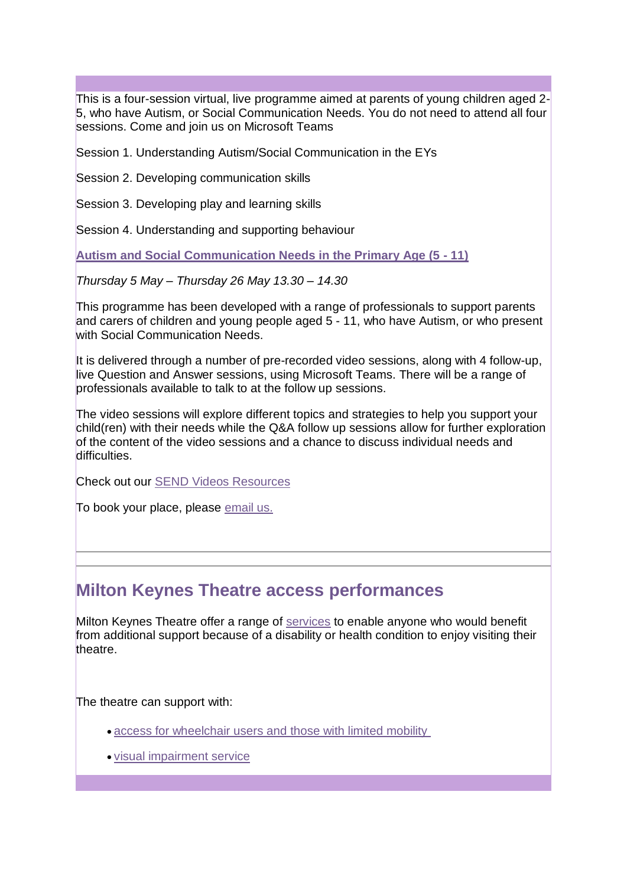This is a four-session virtual, live programme aimed at parents of young children aged 2- 5, who have Autism, or Social Communication Needs. You do not need to attend all four sessions. Come and join us on Microsoft Teams

Session 1. Understanding Autism/Social Communication in the EYs

Session 2. Developing communication skills

Session 3. Developing play and learning skills

Session 4. Understanding and supporting behaviour

**[Autism and Social Communication Needs in the Primary Age \(5 -](https://lnks.gd/l/eyJhbGciOiJIUzI1NiJ9.eyJidWxsZXRpbl9saW5rX2lkIjoxMTcsInVyaSI6ImJwMjpjbGljayIsImJ1bGxldGluX2lkIjoiMjAyMjAzMjguNTU1MzQxNjEiLCJ1cmwiOiJodHRwczovL2NvbnRlbnQuZ292ZGVsaXZlcnkuY29tL2F0dGFjaG1lbnRzL1VLTUsvMjAyMS8xMi8wMy9maWxlX2F0dGFjaG1lbnRzLzIwMTE4OTcvUGFyZW50JTIwdHJhaW5pbmclMjBib29rbGV0JTIwMjAyMS0yJTIwLSUyMGZpbmFsLnBkZiJ9.jhD6cah-zyi1F8IXLGSokl4MFHMYwVQIacE4Vhi5Sgg/s/2129677703/br/128721388554-l) 11)**

*Thursday 5 May – Thursday 26 May 13.30 – 14.30*

This programme has been developed with a range of professionals to support parents and carers of children and young people aged 5 - 11, who have Autism, or who present with Social Communication Needs.

It is delivered through a number of pre-recorded video sessions, along with 4 follow-up, live Question and Answer sessions, using Microsoft Teams. There will be a range of professionals available to talk to at the follow up sessions.

The video sessions will explore different topics and strategies to help you support your child(ren) with their needs while the Q&A follow up sessions allow for further exploration of the content of the video sessions and a chance to discuss individual needs and difficulties.

Check out our [SEND Videos Resources](https://lnks.gd/l/eyJhbGciOiJIUzI1NiJ9.eyJidWxsZXRpbl9saW5rX2lkIjoxMTgsInVyaSI6ImJwMjpjbGljayIsImJ1bGxldGluX2lkIjoiMjAyMjAzMjguNTU1MzQxNjEiLCJ1cmwiOiJodHRwczovL3d3dy5taWx0b24ta2V5bmVzLmdvdi51ay9zY2hvb2xzLWFuZC1saWZlbG9uZy1sZWFybmluZy9zZW5kLWxvY2FsLW9mZmVyL3NlbmQtbG9jYWwtb2ZmZXItcGFyZW50cy9zZW5kLXZpZGVvLWNvbnRlbnQifQ.Tn-zGUmTjRoda4d6pu5tPd-yYrjs6CqVjz8wzq33xoQ/s/2129677703/br/128721388554-l)

To book your place, please [email us.](mailto:SENDSupport@milton-keynes.gov.uk)

### **Milton Keynes Theatre access performances**

Milton Keynes Theatre offer a range of [services](https://lnks.gd/l/eyJhbGciOiJIUzI1NiJ9.eyJidWxsZXRpbl9saW5rX2lkIjoxMTksInVyaSI6ImJwMjpjbGljayIsImJ1bGxldGluX2lkIjoiMjAyMjAzMjguNTU1MzQxNjEiLCJ1cmwiOiJodHRwczovL3d3dy5hdGd0aWNrZXRzLmNvbS9hY2Nlc3MvaW50cm9kdWN0aW9uLyJ9.dy8fk3jRis1ecML_cMIEZub7Escc2-4PiHPwKBHpAEo/s/2129677703/br/128721388554-l) to enable anyone who would benefit from additional support because of a disability or health condition to enjoy visiting their theatre.

The theatre can support with:

- [access for wheelchair users and those with limited mobility](https://lnks.gd/l/eyJhbGciOiJIUzI1NiJ9.eyJidWxsZXRpbl9saW5rX2lkIjoxMjAsInVyaSI6ImJwMjpjbGljayIsImJ1bGxldGluX2lkIjoiMjAyMjAzMjguNTU1MzQxNjEiLCJ1cmwiOiJodHRwczovL3d3dy5hdGd0aWNrZXRzLmNvbS9hY2Nlc3Mvd2hlZWxjaGFpcnMtYW5kLW1vYmlsaXR5LWFzc2lzdGFuY2UvIn0.NB9cKm7qbxnn6fnxIGBo59vOTeyAfq_ijwd4fb31jxQ/s/2129677703/br/128721388554-l)
- [visual impairment service](https://lnks.gd/l/eyJhbGciOiJIUzI1NiJ9.eyJidWxsZXRpbl9saW5rX2lkIjoxMjEsInVyaSI6ImJwMjpjbGljayIsImJ1bGxldGluX2lkIjoiMjAyMjAzMjguNTU1MzQxNjEiLCJ1cmwiOiJodHRwczovL3d3dy5hdGd0aWNrZXRzLmNvbS9hY2Nlc3MvdmlzdWFsLWltcGFpcm1lbnQtc2VydmljZXMvIn0.lDYO8tthvdSSqu5hjv_4sagy73ylVq2byqT69Sqe3ZA/s/2129677703/br/128721388554-l)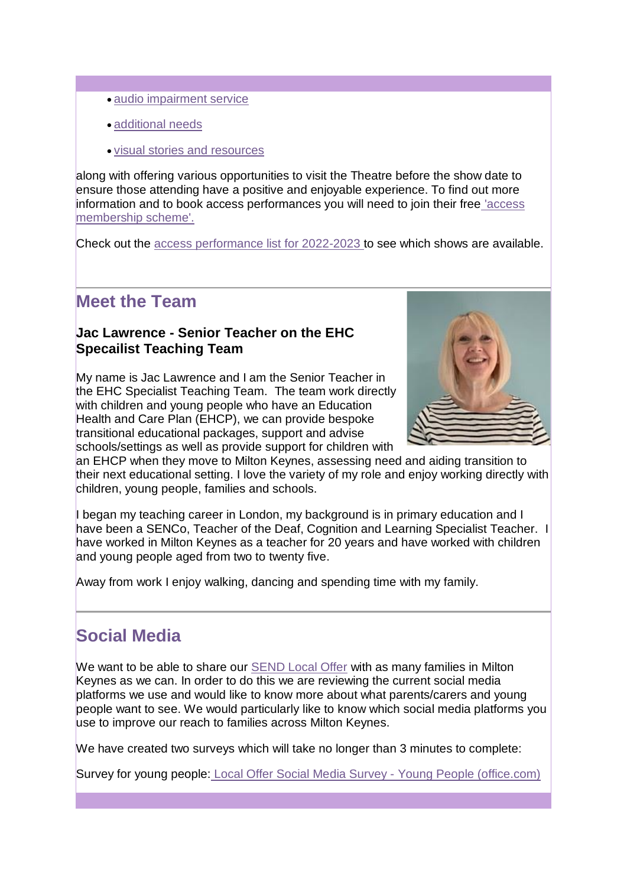- [audio impairment service](https://lnks.gd/l/eyJhbGciOiJIUzI1NiJ9.eyJidWxsZXRpbl9saW5rX2lkIjoxMjIsInVyaSI6ImJwMjpjbGljayIsImJ1bGxldGluX2lkIjoiMjAyMjAzMjguNTU1MzQxNjEiLCJ1cmwiOiJodHRwczovL3d3dy5hdGd0aWNrZXRzLmNvbS9hY2Nlc3MvaGVhcmluZy1pbXBhaXJtZW50LXNlcnZpY2VzLyJ9.k0YatBj9ZlIeWZPB5OBODSJiEq6MyER3WQDiTPwKF3k/s/2129677703/br/128721388554-l)
- [additional needs](https://lnks.gd/l/eyJhbGciOiJIUzI1NiJ9.eyJidWxsZXRpbl9saW5rX2lkIjoxMjMsInVyaSI6ImJwMjpjbGljayIsImJ1bGxldGluX2lkIjoiMjAyMjAzMjguNTU1MzQxNjEiLCJ1cmwiOiJodHRwczovL3d3dy5hdGd0aWNrZXRzLmNvbS9hY2Nlc3MvYWRkaXRpb25hbC1uZWVkcy8ifQ.JIU5p24mdlXuaq2vEG6jEj-kFKGi0yZN-1-TBeAEEWU/s/2129677703/br/128721388554-l)
- [visual stories and resources](https://lnks.gd/l/eyJhbGciOiJIUzI1NiJ9.eyJidWxsZXRpbl9saW5rX2lkIjoxMjQsInVyaSI6ImJwMjpjbGljayIsImJ1bGxldGluX2lkIjoiMjAyMjAzMjguNTU1MzQxNjEiLCJ1cmwiOiJodHRwczovL3d3dy5hdGd0aWNrZXRzLmNvbS9hY2Nlc3MvdmlzdWFsLXN0b3JpZXMvIn0.bnmvr6BnpLX_vy5cnvjqjYOSQTKzSQ51hs0Oc6dwoHI/s/2129677703/br/128721388554-l)

along with offering various opportunities to visit the Theatre before the show date to ensure those attending have a positive and enjoyable experience. To find out more information and to book access performances you will need to join their free ['access](https://lnks.gd/l/eyJhbGciOiJIUzI1NiJ9.eyJidWxsZXRpbl9saW5rX2lkIjoxMjUsInVyaSI6ImJwMjpjbGljayIsImJ1bGxldGluX2lkIjoiMjAyMjAzMjguNTU1MzQxNjEiLCJ1cmwiOiJodHRwczovL3d3dy5hdGd0aWNrZXRzLmNvbS9hY2Nlc3MvYWNjZXNzLXNjaGVtZS8ifQ.JU0a8b2mtznLgOpaDruaka-MjgTUV5NZtaCbyw_zQTQ/s/2129677703/br/128721388554-l)  [membership scheme'.](https://lnks.gd/l/eyJhbGciOiJIUzI1NiJ9.eyJidWxsZXRpbl9saW5rX2lkIjoxMjUsInVyaSI6ImJwMjpjbGljayIsImJ1bGxldGluX2lkIjoiMjAyMjAzMjguNTU1MzQxNjEiLCJ1cmwiOiJodHRwczovL3d3dy5hdGd0aWNrZXRzLmNvbS9hY2Nlc3MvYWNjZXNzLXNjaGVtZS8ifQ.JU0a8b2mtznLgOpaDruaka-MjgTUV5NZtaCbyw_zQTQ/s/2129677703/br/128721388554-l)

Check out the [access performance list for 2022-2023](https://lnks.gd/l/eyJhbGciOiJIUzI1NiJ9.eyJidWxsZXRpbl9saW5rX2lkIjoxMjYsInVyaSI6ImJwMjpjbGljayIsImJ1bGxldGluX2lkIjoiMjAyMjAzMjguNTU1MzQxNjEiLCJ1cmwiOiJodHRwczovL3d3dy5hdGd0aWNrZXRzLmNvbS92ZW51ZXMvbWlsdG9uLWtleW5lcy10aGVhdHJlLyJ9.RRNG6khaKWn772NhPufDp137S17bQIOmYU2qeerWna0/s/2129677703/br/128721388554-l) to see which shows are available.

## **Meet the Team**

### **Jac Lawrence - Senior Teacher on the EHC Specailist Teaching Team**

My name is Jac Lawrence and I am the Senior Teacher in the EHC Specialist Teaching Team. The team work directly with children and young people who have an Education Health and Care Plan (EHCP), we can provide bespoke transitional educational packages, support and advise schools/settings as well as provide support for children with



an EHCP when they move to Milton Keynes, assessing need and aiding transition to their next educational setting. I love the variety of my role and enjoy working directly with children, young people, families and schools.

I began my teaching career in London, my background is in primary education and I have been a SENCo, Teacher of the Deaf, Cognition and Learning Specialist Teacher. I have worked in Milton Keynes as a teacher for 20 years and have worked with children and young people aged from two to twenty five.

Away from work I enjoy walking, dancing and spending time with my family.

## **Social Media**

We want to be able to share our [SEND Local Offer](https://lnks.gd/l/eyJhbGciOiJIUzI1NiJ9.eyJidWxsZXRpbl9saW5rX2lkIjoxMjcsInVyaSI6ImJwMjpjbGljayIsImJ1bGxldGluX2lkIjoiMjAyMjAzMjguNTU1MzQxNjEiLCJ1cmwiOiJodHRwczovL3d3dy5taWx0b24ta2V5bmVzLmdvdi51ay9zY2hvb2xzLWFuZC1saWZlbG9uZy1sZWFybmluZy9zZW5kLWxvY2FsLW9mZmVyIn0.2M5KbogFU7gGTexsu2tcB8OM54QF_M7CeeWhMU80mzY/s/2129677703/br/128721388554-l) with as many families in Milton Keynes as we can. In order to do this we are reviewing the current social media platforms we use and would like to know more about what parents/carers and young people want to see. We would particularly like to know which social media platforms you use to improve our reach to families across Milton Keynes.

We have created two surveys which will take no longer than 3 minutes to complete:

Survey for young people: Local Offer Social Media Survey - [Young People \(office.com\)](https://lnks.gd/l/eyJhbGciOiJIUzI1NiJ9.eyJidWxsZXRpbl9saW5rX2lkIjoxMjgsInVyaSI6ImJwMjpjbGljayIsImJ1bGxldGluX2lkIjoiMjAyMjAzMjguNTU1MzQxNjEiLCJ1cmwiOiJodHRwczovL2Zvcm1zLm9mZmljZS5jb20vci9zNzNSbkV2VGVkIn0.3IRn__j1j80DmWPgufn8L_HY7y3CoxVZFlnlGPerIHo/s/2129677703/br/128721388554-l)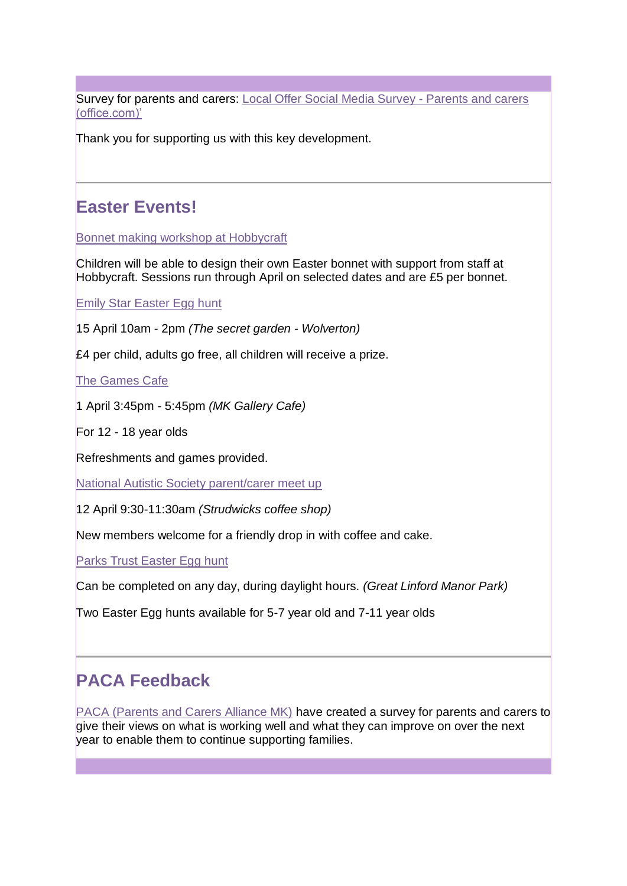Survey for parents and carers: Local Offer [Social Media Survey -](https://lnks.gd/l/eyJhbGciOiJIUzI1NiJ9.eyJidWxsZXRpbl9saW5rX2lkIjoxMjksInVyaSI6ImJwMjpjbGljayIsImJ1bGxldGluX2lkIjoiMjAyMjAzMjguNTU1MzQxNjEiLCJ1cmwiOiJodHRwczovL2Zvcm1zLm9mZmljZS5jb20vci96eWZqdDc1YnBTIn0.FsVmRpA_6RZLB9MyZWmpWPGu741LtakjZTl98bJ-hHs/s/2129677703/br/128721388554-l) Parents and carers [\(office.com\)'](https://lnks.gd/l/eyJhbGciOiJIUzI1NiJ9.eyJidWxsZXRpbl9saW5rX2lkIjoxMjksInVyaSI6ImJwMjpjbGljayIsImJ1bGxldGluX2lkIjoiMjAyMjAzMjguNTU1MzQxNjEiLCJ1cmwiOiJodHRwczovL2Zvcm1zLm9mZmljZS5jb20vci96eWZqdDc1YnBTIn0.FsVmRpA_6RZLB9MyZWmpWPGu741LtakjZTl98bJ-hHs/s/2129677703/br/128721388554-l)

Thank you for supporting us with this key development.

# **Easter Events!**

[Bonnet making workshop at Hobbycraft](https://lnks.gd/l/eyJhbGciOiJIUzI1NiJ9.eyJidWxsZXRpbl9saW5rX2lkIjoxMzAsInVyaSI6ImJwMjpjbGljayIsImJ1bGxldGluX2lkIjoiMjAyMjAzMjguNTU1MzQxNjEiLCJ1cmwiOiJodHRwczovL2NsYXNzYmVudG8uY28udWsva2lkcy1ib25uZXQtbWFraW5nLXdvcmtzaG9wLW1pbHRvbi1rZXluZXMifQ.UTvpAoPVBzcOiTxqh7Eau2hLyl7j-hoqK6j3LyZo49Y/s/2129677703/br/128721388554-l)

Children will be able to design their own Easter bonnet with support from staff at Hobbycraft. Sessions run through April on selected dates and are £5 per bonnet.

#### **[Emily Star Easter Egg hunt](https://lnks.gd/l/eyJhbGciOiJIUzI1NiJ9.eyJidWxsZXRpbl9saW5rX2lkIjoxMzEsInVyaSI6ImJwMjpjbGljayIsImJ1bGxldGluX2lkIjoiMjAyMjAzMjguNTU1MzQxNjEiLCJ1cmwiOiJodHRwczovL3d3dy5lbWlseXNzdGFyLmNvLnVrL2V2ZW50cy5odG1sIn0.dp4IRQCmpmf2IkMSE_7XLH9lGJqKQuqFCaTNOEeJR84/s/2129677703/br/128721388554-l)**

15 April 10am - 2pm *(The secret garden - Wolverton)*

£4 per child, adults go free, all children will receive a prize.

[The Games Cafe](https://lnks.gd/l/eyJhbGciOiJIUzI1NiJ9.eyJidWxsZXRpbl9saW5rX2lkIjoxMzIsInVyaSI6ImJwMjpjbGljayIsImJ1bGxldGluX2lkIjoiMjAyMjAzMjguNTU1MzQxNjEiLCJ1cmwiOiJodHRwczovL2NvbnRlbnQuZ292ZGVsaXZlcnkuY29tL2F0dGFjaG1lbnRzL1VLTUsvMjAyMi8wMy8xNC9maWxlX2F0dGFjaG1lbnRzLzIxMDIyMTYvbWslMjBnYWxsZXJ5JTIwY2FmZSUyMDEyLTE4eXJzLnBuZyJ9.NjRiG2G-1sdn_dHv-B4pkYUzirS6YtDlNkGOEI-uKCs/s/2129677703/br/128721388554-l)

1 April 3:45pm - 5:45pm *(MK Gallery Cafe)*

For 12 - 18 year olds

Refreshments and games provided.

[National Autistic Society parent/carer meet up](https://lnks.gd/l/eyJhbGciOiJIUzI1NiJ9.eyJidWxsZXRpbl9saW5rX2lkIjoxMzMsInVyaSI6ImJwMjpjbGljayIsImJ1bGxldGluX2lkIjoiMjAyMjAzMjguNTU1MzQxNjEiLCJ1cmwiOiJodHRwczovL2NvbnRlbnQuZ292ZGVsaXZlcnkuY29tL2F0dGFjaG1lbnRzL1VLTUsvMjAyMi8wMy8xNC9maWxlX2F0dGFjaG1lbnRzLzIxMDIyMDYvbmFzJTIwamFuJTIwLSUyMGp1bHkuanBnIn0.8S8EuWoLHFKTVg2_cn912JvyXI-3gI-WDBNwoEY_lG8/s/2129677703/br/128721388554-l)

12 April 9:30-11:30am *(Strudwicks coffee shop)*

New members welcome for a friendly drop in with coffee and cake.

[Parks Trust Easter Egg hunt](https://lnks.gd/l/eyJhbGciOiJIUzI1NiJ9.eyJidWxsZXRpbl9saW5rX2lkIjoxMzQsInVyaSI6ImJwMjpjbGljayIsImJ1bGxldGluX2lkIjoiMjAyMjAzMjguNTU1MzQxNjEiLCJ1cmwiOiJodHRwczovL3d3dy50aGVwYXJrc3RydXN0LmNvbS9ldmVudHMvZWFzdGVyLWVnZy1odW50LyJ9.zSmqcymgzNFfnyDOb96Vqnodt9tjqCVxW8v6mmP5iBk/s/2129677703/br/128721388554-l)

Can be completed on any day, during daylight hours. *(Great Linford Manor Park)*

Two Easter Egg hunts available for 5-7 year old and 7-11 year olds

## **PACA Feedback**

[PACA \(Parents and Carers Alliance MK\)](https://lnks.gd/l/eyJhbGciOiJIUzI1NiJ9.eyJidWxsZXRpbl9saW5rX2lkIjoxMzUsInVyaSI6ImJwMjpjbGljayIsImJ1bGxldGluX2lkIjoiMjAyMjAzMjguNTU1MzQxNjEiLCJ1cmwiOiJodHRwczovL3BhY2Ftay5vcmcvIn0._NReiADU9y5Gh2NN1IzhbmOkeu9QJd0V6yj1BbsmuEo/s/2129677703/br/128721388554-l) have created a survey for parents and carers to give their views on what is working well and what they can improve on over the next year to enable them to continue supporting families.